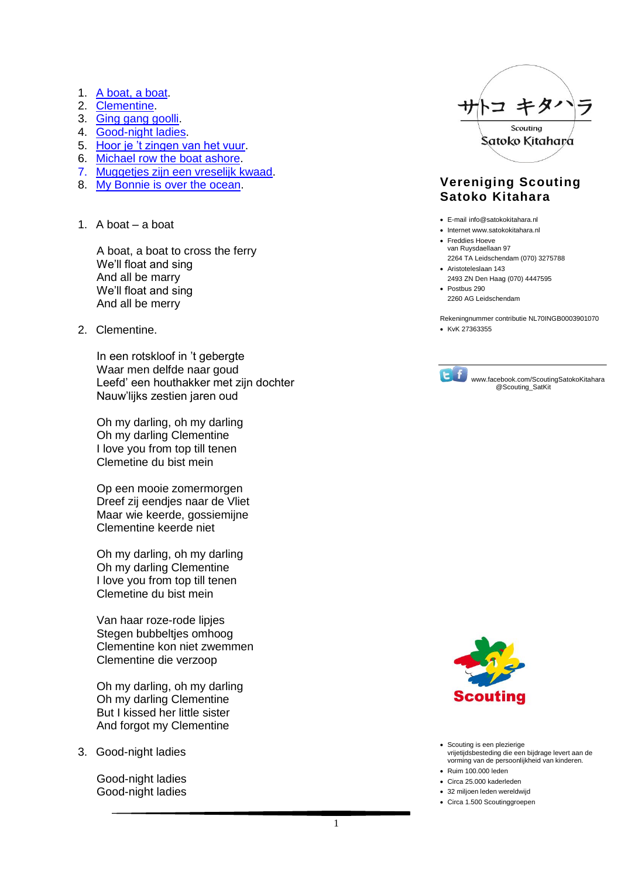- 1. [A boat, a boat.](#page-0-0)
- 2. [Clementine.](#page-0-1)
- 3. [Ging gang goolli.](#page-1-0)
- 4. [Good-night ladies.](#page-0-2)
- 5. [Hoor je 't zingen van het vuur.](#page-1-1)
- 6. [Michael row the boat ashore.](#page-1-2)
- 7. [Muggetjes zijn een vreselijk kwaad.](#page-1-3)
- 8. [My Bonnie is over the ocean.](#page-1-4)
- <span id="page-0-0"></span>1. A boat – a boat

A boat, a boat to cross the ferry We'll float and sing And all be marry We'll float and sing And all be merry

<span id="page-0-1"></span>2. Clementine.

In een rotskloof in 't gebergte Waar men delfde naar goud Leefd' een houthakker met zijn dochter Nauw'lijks zestien jaren oud

Oh my darling, oh my darling Oh my darling Clementine I love you from top till tenen Clemetine du bist mein

Op een mooie zomermorgen Dreef zij eendjes naar de Vliet Maar wie keerde, gossiemijne Clementine keerde niet

Oh my darling, oh my darling Oh my darling Clementine I love you from top till tenen Clemetine du bist mein

Van haar roze-rode lipjes Stegen bubbelties omhoog Clementine kon niet zwemmen Clementine die verzoop

Oh my darling, oh my darling Oh my darling Clementine But I kissed her little sister And forgot my Clementine

<span id="page-0-2"></span>3. Good-night ladies

Good-night ladies Good-night ladies



## **Vereniging Scouting Satoko Kitahara**

- E-mail info@satokokitahara.nl
- Internet www.satokokitahara.nl
- Freddies Hoeve van Ruysdaellaan 97 2264 TA Leidschendam (070) 3275788
- Aristoteleslaan 143 2493 ZN Den Haag (070) 4447595
- Postbus 290
- 2260 AG Leidschendam

Rekeningnummer contributie NL70INGB0003901070 • KvK 27363355



 [www.facebook.com/ScoutingSatokoKitahara](http://www.facebook.com/ScoutingSatokoKitahara)  [@Scouting\\_SatKit](https://twitter.com/Scouting_SatKit)



- Scouting is een plezierige vrijetijdsbesteding die een bijdrage levert aan de vorming van de persoonlijkheid van kinderen.
- Ruim 100.000 leden
- Circa 25.000 kaderleden
- 32 miljoen leden wereldwijd
- Circa 1.500 Scoutinggroepen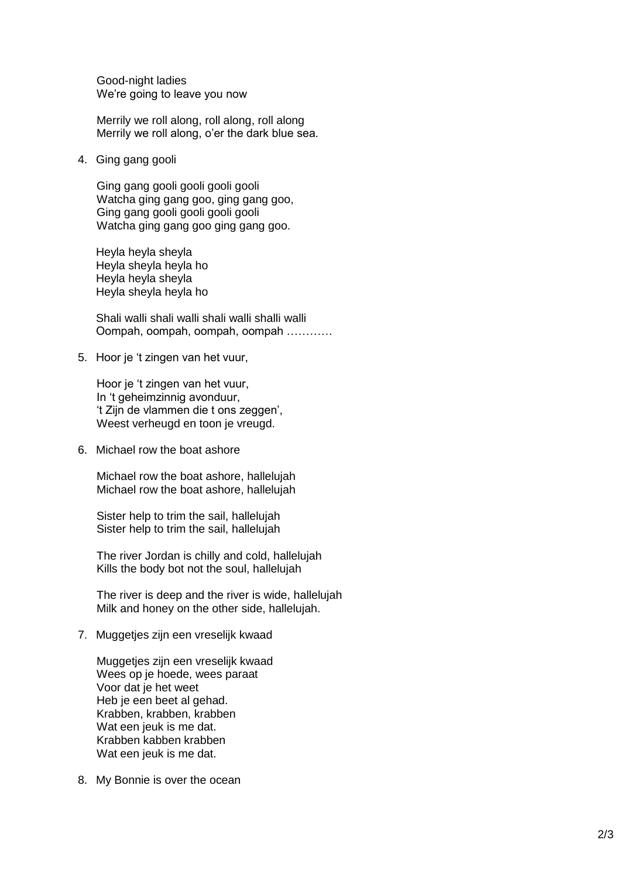Good -night ladies We're going to leave you now

Merrily we roll along, roll along, roll along Merrily we roll along, o'er the dark blue sea.

<span id="page-1-0"></span>4. Ging gang gooli

Ging gang gooli gooli gooli gooli Watcha ging gang goo, ging gang goo, Ging gang gooli gooli gooli gooli Watcha ging gang goo ging gang goo.

Heyla heyla sheyla Heyla sheyla heyla ho Heyla heyla sheyla Heyla sheyla heyla ho

Shali walli shali walli shali walli shalli walli Oompah, oompah, oompah, oompah …………

<span id="page-1-1"></span>5. Hoor je 't zingen van het vuur,

Hoor je 't zingen van het vuur, In 't geheimzinnig avonduur, 't Zijn de vlammen die t ons zeggen', Weest verheugd en toon je vreugd.

<span id="page-1-2"></span>6. Michael row the boat ashore

Michael row the boat ashore, hallelujah Michael row the boat ashore, hallelujah

Sister help to trim the sail, hallelujah Sister help to trim the sail, hallelujah

The river Jordan is chilly and cold, hallelujah Kills the body bot not the soul, hallelujah

The river is deep and the river is wide, hallelujah Milk and honey on the other side, hallelujah.

<span id="page-1-3"></span>7. Muggetjes zijn een vreselijk kwaad

Muggetjes zijn een vreselijk kwaad Wees op je hoede, wees paraat Voor dat je het weet Heb je een beet al gehad. Krabben, krabben, krabben Wat een jeuk is me dat. Krabben kabben krabben Wat een jeuk is me dat.

<span id="page-1-4"></span>8. My Bonnie is over the ocean